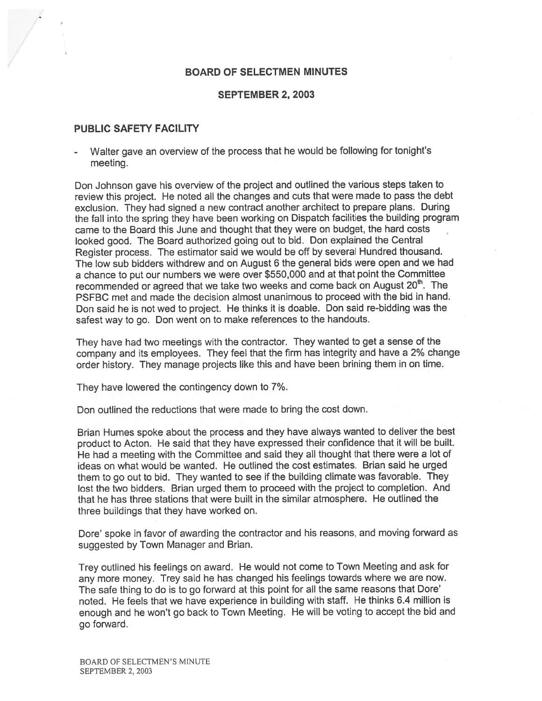### BOARD OF SELECTMEN MINUTES

#### SEPTEMBER 2, 2003

### PUBLIC SAFETY FACILITY

 Walter gave an overview of the process that he would be following for tonight's meeting.

Don Johnson gave his overview of the project and outlined the various steps taken to review this project. He noted all the changes and cuts that were made to pass the debt exclusion. They had signed <sup>a</sup> new contract another architect to prepare <sup>p</sup>lans. During the fall into the spring they have been working on Dispatch facilities the building program came to the Board this June and thought that they were on budget, the hard costs looked good. The Board authorized going out to bid. Don explained the Central Register process. The estimator said we would be off by several Hundred thousand. The low sub bidders withdrew and on August <sup>6</sup> the general bids were open and we had <sup>a</sup> chance to pu<sup>t</sup> our numbers we were over \$550,000 and at that point the Committee recommended or agreed that we take two weeks and come back on August 20<sup>th</sup>. The PSFBC met and made the decision almost unanimous to proceed with the bid in hand. Don said he is not wed to project. He thinks it is doable. Don said re-bidding was the safest way to go. Don went on to make references to the handouts.

They have had two meetings with the contractor. They wanted to ge<sup>t</sup> <sup>a</sup> sense of the company and its employees. They feel that the firm has integrity and have <sup>a</sup> 2% change order history. They manage projects like this and have been brining them in on time.

They have lowered the contingency down to 7%.

Don outlined the reductions that were made to bring the cost down.

Brian Humes spoke about the process and they have always wanted to deliver the best product to Acton. He said that they have expresse<sup>d</sup> their confidence that it will be built. He had <sup>a</sup> meeting with the Committee and said they all thought that there were <sup>a</sup> lot of ideas on what would be wanted. He outlined the cost estimates. Brian said he urged them to go out to bid. They wanted to see if the building climate was favorable. They lost the two bidders. Brian urged them to proceed with the project to completion. And that he has three stations that were built in the similar atmosphere. He outlined the three buildings that they have worked on.

Dore' spoke in favor of awarding the contractor and his reasons, and moving forward as suggested by Town Manager and Brian.

Trey outlined his feelings on award. He would not come to Town Meeting and ask for any more money. Trey said he has changed his feelings towards where we are now. The safe thing to do is to go forward at this point for all the same reasons that Dore' noted. He feels that we have experience in building with staff. He thinks 6.4 million is enoug<sup>h</sup> and he won't go back to Town Meeting. He will be voting to accep<sup>t</sup> the bid and go forward.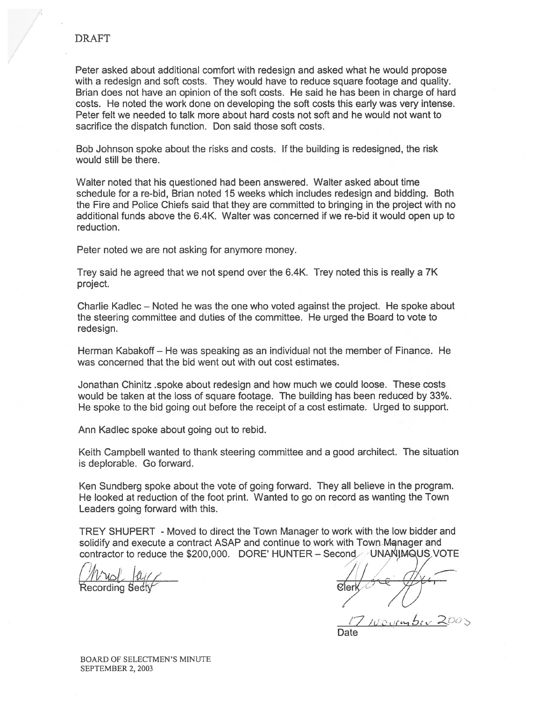Peter asked about additional comfort with redesign and asked what he would propose with <sup>a</sup> redesign and soft costs. They would have to reduce square footage and quality. Brian does not have an opinion of the soft costs. He said he has been in charge of hard costs. He noted the work done on developing the soft costs this early was very intense. Peter felt we needed to talk more about hard costs not soft and he would not want to sacrifice the dispatch function. Don said those soft costs.

Bob Johnson spoke about the risks and costs. If the building is redesigned, the risk would still be there.

Walter noted that his questioned had been answered. Walter asked about time schedule for <sup>a</sup> re-bid, Brian noted 15 weeks which includes redesign and bidding. Both the Fire and Police Chiefs said that they are committed to bringing in the project with no additional funds above the 6.4K. WaIter was concerned if we re-bid it would open up to reduction.

Peter noted we are not asking for anymore money.

Trey said he agreed that we not spend over the 6.4K. Trey noted this is really <sup>a</sup> 7K project.

Charlie Kadlec — Noted he was the one who voted against the project. He spoke about the steering committee and duties of the committee. He urged the Board to vote to redesign.

Herman Kabakoff — He was speaking as an individual not the member of Finance. He was concerned that the bid went out with out cost estimates.

Jonathan Chinitz .spoke about redesign and how much we could loose. These costs would be taken at the loss of square footage. The building has been reduced by 33%. He spoke to the bid going out before the receipt of <sup>a</sup> cost estimate. Urged to support.

Ann Kadlec spoke about going out to rebid.

Keith Campbell wanted to thank steering committee and <sup>a</sup> good architect. The situation is deplorable. Go forward.

Ken Sundberg spoke about the vote of going forward. They all believe in the program. He looked at reduction of the foot print. Wanted to go on record as wanting the Town Leaders going forward with this.

TREY SHUPERT -Moved to direct the Town Manager to work with the low bidder and solidify and execute a contract ASAP and continue to work with Town Manager and contractor to reduce the  $$200,000$ . DORE' HUNTER - Second UNANIMQUS VOTE

 $/m\omega$ ,  $\omega$ ,  $\omega$ 

Recording Secty and the cordination of  $\mathcal{C}$  and  $\mathcal{C}$  are  $\mathcal{C}$  and  $\mathcal{C}$  and  $\mathcal{C}$  are  $\mathcal{C}$  and  $\mathcal{C}$  are  $\mathcal{C}$  and  $\mathcal{C}$  are  $\mathcal{C}$  and  $\mathcal{C}$  are  $\mathcal{C}$  and  $\mathcal{C}$  are  $\mathcal{C}$  and

 $10$  or  $50$ 

**Date**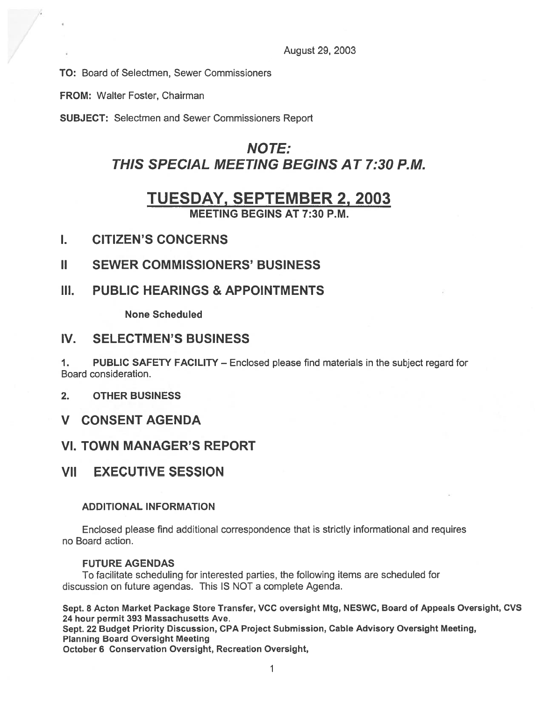August 29, 2003

TO: Board of Selectmen, Sewer Commissioners

FROM: Walter Foster, Chairman

SUBJECT: Selectmen and Sewer Commissioners Report

# NOTE: THIS SPECIAL MEETING BEGINS AT 7:30 P.M.

# TUESDAY, SEPTEMBER 2, 2003

MEETING BEGINS AT 7:30 P.M.

- I. CITIZEN'S CONCERNS
- II SEWER COMMISSIONERS' BUSINESS
- III. PUBLIC HEARINGS & APPOINTMENTS

None Scheduled

## IV. SELECTMEN'S BUSINESS

1. PUBLIC SAFETY FACILITY — Enclosed please find materials in the subject regard for Board consideration.

- 2. OTHER BUSINESS
- V CONSENT AGENDA

# VI. TOWN MANAGER'S REPORT

# VII EXECUTIVE SESSION

## ADDITIONAL INFORMATION

Enclosed please find additional correspondence that is strictly informational and requires no Board action.

### FUTURE AGENDAS

To facilitate scheduling for interested parties, the following items are scheduled for discussion on future agendas. This IS NOT <sup>a</sup> complete Agenda.

Sept. 8 Acton Market Package Store Transfer, VCC oversight Mtg, NESWC, Board of Appeals Oversight, CVS 24 hour permit 393 Massachusetts Ave.

Sept. <sup>22</sup> Budget Priority Discussion, CPA Project Submission, Cable Advisory Oversight Meeting, Planning Board Oversight Meeting

October 6 Conservation Oversight, Recreation Oversight,